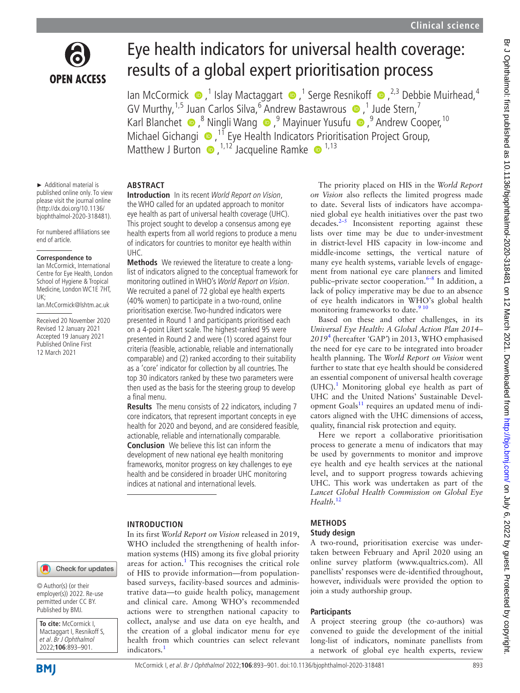

# Eye health indicators for universal health coverage: results of a global expert prioritisation process

IanMcCormick (■,<sup>1</sup> Islay Mactaggart ●,<sup>1</sup> Serge Resnikoff ●,<sup>2,3</sup> Debbie Muirhead,<sup>4</sup> GVMurthy,  $1.5$  Juan Carlos Silva,  $6$  Andrew Bastawrous  $\bullet$  , 1 Jude Stern, 7 KarlBlanchet  $\bullet$ ,<sup>8</sup> Ningli Wang  $\bullet$ ,<sup>9</sup> Mayinuer Yusufu  $\bullet$ ,<sup>9</sup> Andrew Cooper,<sup>10</sup> Michael Gichangi **D**<sup>11</sup> Eye Health Indicators Prioritisation Project Group, MatthewJ Burton  $\bullet$ ,  $^{1,12}$  Jacqueline Ramke  $\bullet$   $^{1,13}$ 

► Additional material is published online only. To view please visit the journal online [\(http://dx.doi.org/10.1136/](http://dx.doi.org/10.1136/bjophthalmol-2020-318481) [bjophthalmol-2020-318481\)](http://dx.doi.org/10.1136/bjophthalmol-2020-318481).

For numbered affiliations see end of article.

#### **Correspondence to**

Ian McCormick, International Centre for Eye Health, London School of Hygiene & Tropical Medicine, London WC1E 7HT, UK;

Ian.McCormick@lshtm.ac.uk

Received 20 November 2020 Revised 12 January 2021 Accepted 19 January 2021 Published Online First 12 March 2021

#### **ABSTRACT**

**Introduction** In its recent World Report on Vision, the WHO called for an updated approach to monitor eye health as part of universal health coverage (UHC). This project sought to develop a consensus among eye health experts from all world regions to produce a menu of indicators for countries to monitor eye health within UHC.

**Methods** We reviewed the literature to create a longlist of indicators aligned to the conceptual framework for monitoring outlined in WHO's World Report on Vision. We recruited a panel of 72 global eye health experts (40% women) to participate in a two-round, online prioritisation exercise. Two-hundred indicators were presented in Round 1 and participants prioritised each on a 4-point Likert scale. The highest-ranked 95 were presented in Round 2 and were (1) scored against four criteria (feasible, actionable, reliable and internationally comparable) and (2) ranked according to their suitability as a 'core' indicator for collection by all countries. The top 30 indicators ranked by these two parameters were then used as the basis for the steering group to develop a final menu.

**Results** The menu consists of 22 indicators, including 7 core indicators, that represent important concepts in eye health for 2020 and beyond, and are considered feasible, actionable, reliable and internationally comparable. **Conclusion** We believe this list can inform the development of new national eye health monitoring frameworks, monitor progress on key challenges to eye health and be considered in broader UHC monitoring indices at national and international levels.

#### **INTRODUCTION**

In its first *World Report on Vision* released in 2019, WHO included the strengthening of health information systems (HIS) among its five global priority areas for action.<sup>[1](#page-7-0)</sup> This recognises the critical role of HIS to provide information—from populationbased surveys, facility-based sources and administrative data—to guide health policy, management and clinical care. Among WHO's recommended actions were to strengthen national capacity to collect, analyse and use data on eye health, and the creation of a global indicator menu for eye health from which countries can select relevant indicators.<sup>[1](#page-7-0)</sup>

The priority placed on HIS in the *World Report on Vision* also reflects the limited progress made to date. Several lists of indicators have accompanied global eye health initiatives over the past two decades[.2–5](#page-7-1) Inconsistent reporting against these lists over time may be due to under-investment in district-level HIS capacity in low-income and middle-income settings, the vertical nature of many eye health systems, variable levels of engagement from national eye care planners and limited public–private sector cooperation.<sup>6–8</sup> In addition, a lack of policy imperative may be due to an absence of eye health indicators in WHO's global health monitoring frameworks to date.<sup>[9 10](#page-8-1)</sup>

Based on these and other challenges, in its *Universal Eye Health: A Global Action Plan 2014– 2019*[4](#page-7-2) (hereafter *'*GAP*'*) in 2013, WHO emphasised the need for eye care to be integrated into broader health planning. The *World Report on Vision* went further to state that eye health should be considered an essential component of universal health coverage (UHC).<sup>[1](#page-7-0)</sup> Monitoring global eye health as part of UHC and the United Nations' Sustainable Development Goals<sup>11</sup> requires an updated menu of indicators aligned with the UHC dimensions of access, quality, financial risk protection and equity.

Here we report a collaborative prioritisation process to generate a menu of indicators that may be used by governments to monitor and improve eye health and eye health services at the national level, and to support progress towards achieving UHC. This work was undertaken as part of the *Lancet Global Health Commission on Global Eye Health*. [12](#page-8-3)

## **METHODS**

#### **Study design**

A two-round, prioritisation exercise was undertaken between February and April 2020 using an online survey platform (<www.qualtrics.com>). All panellists' responses were de-identified throughout, however, individuals were provided the option to join a study authorship group.

## **Participants**

A project steering group (the co-authors) was convened to guide the development of the initial long-list of indicators, nominate panellists from a network of global eye health experts, review

Check for updates

© Author(s) (or their employer(s)) 2022. Re-use permitted under CC BY. Published by BMJ.

**To cite:** McCormick I, Mactaggart I, Resnikoff S, et al. Br J Ophthalmol 2022;**106**:893–901.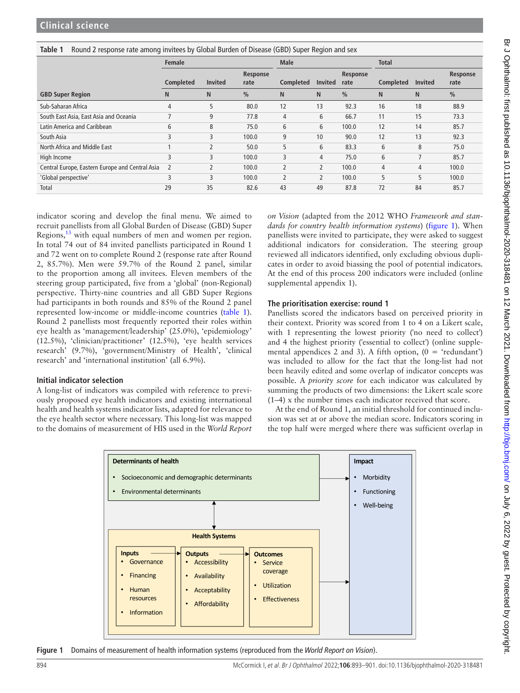<span id="page-1-0"></span>

|  | Table 1 Round 2 response rate among invitees by Global Burden of Disease (GBD) Super Region and sex |
|--|-----------------------------------------------------------------------------------------------------|
|  |                                                                                                     |

|                                                 | <b>Female</b>  |                          |                  | <b>Male</b>              |                          |                  | <b>Total</b> |                |                  |
|-------------------------------------------------|----------------|--------------------------|------------------|--------------------------|--------------------------|------------------|--------------|----------------|------------------|
|                                                 | Completed      | <b>Invited</b>           | Response<br>rate | Completed                | <b>Invited</b>           | Response<br>rate | Completed    | <b>Invited</b> | Response<br>rate |
| <b>GBD Super Region</b>                         | N              | N                        | $\frac{0}{0}$    | N                        | N                        | $\frac{0}{0}$    | N            | N.             | $\frac{0}{0}$    |
| Sub-Saharan Africa                              | 4              | 5                        | 80.0             | 12                       | 13                       | 92.3             | 16           | 18             | 88.9             |
| South East Asia, East Asia and Oceania          |                | 9                        | 77.8             | 4                        | 6                        | 66.7             | 11           | 15             | 73.3             |
| Latin America and Caribbean                     | 6              | 8                        | 75.0             | 6                        | 6                        | 100.0            | 12           | 14             | 85.7             |
| South Asia                                      | 3              | 3                        | 100.0            | 9                        | 10                       | 90.0             | 12           | 13             | 92.3             |
| North Africa and Middle East                    |                |                          | 50.0             | 5                        | 6                        | 83.3             | 6            | 8              | 75.0             |
| High Income                                     | 3              | 3                        | 100.0            | 3                        | 4                        | 75.0             | 6            | $\overline{7}$ | 85.7             |
| Central Europe, Eastern Europe and Central Asia | $\overline{2}$ | $\overline{\phantom{0}}$ | 100.0            | $\overline{\phantom{a}}$ | $\overline{2}$           | 100.0            | 4            | 4              | 100.0            |
| 'Global perspective'                            | 3              | 3                        | 100.0            | $\overline{2}$           | $\overline{\phantom{a}}$ | 100.0            | 5            | 5              | 100.0            |
| Total                                           | 29             | 35                       | 82.6             | 43                       | 49                       | 87.8             | 72           | 84             | 85.7             |

indicator scoring and develop the final menu. We aimed to recruit panellists from all Global Burden of Disease (GBD) Super Regions,<sup>13</sup> with equal numbers of men and women per region. In total 74 out of 84 invited panellists participated in Round 1 and 72 went on to complete Round 2 (response rate after Round 2, 85.7%). Men were 59.7% of the Round 2 panel, similar to the proportion among all invitees. Eleven members of the steering group participated, five from a 'global' (non-Regional) perspective. Thirty-nine countries and all GBD Super Regions had participants in both rounds and 85% of the Round 2 panel represented low-income or middle-income countries ([table](#page-1-0) 1). Round 2 panellists most frequently reported their roles within eye health as 'management/leadership' (25.0%), 'epidemiology' (12.5%), 'clinician/practitioner' (12.5%), 'eye health services research' (9.7%), 'government/Ministry of Health', 'clinical research' and 'international institution' (all 6.9%).

## **Initial indicator selection**

A long-list of indicators was compiled with reference to previously proposed eye health indicators and existing international health and health systems indicator lists, adapted for relevance to the eye health sector where necessary. This long-list was mapped to the domains of measurement of HIS used in the *World Report*  *on Vision* (adapted from the 2012 WHO *Framework and standards for country health information systems*) ([figure](#page-1-1) 1). When panellists were invited to participate, they were asked to suggest additional indicators for consideration. The steering group reviewed all indicators identified, only excluding obvious duplicates in order to avoid biassing the pool of potential indicators. At the end of this process 200 indicators were included [\(online](https://dx.doi.org/10.1136/bjophthalmol-2020-318481) [supplemental appendix 1\)](https://dx.doi.org/10.1136/bjophthalmol-2020-318481).

## **The prioritisation exercise: round 1**

Panellists scored the indicators based on perceived priority in their context. Priority was scored from 1 to 4 on a Likert scale, with 1 representing the lowest priority ('no need to collect') and 4 the highest priority ('essential to collect') ([online supple](https://dx.doi.org/10.1136/bjophthalmol-2020-318481)[mental appendices 2 and 3](https://dx.doi.org/10.1136/bjophthalmol-2020-318481)). A fifth option,  $(0 = 'redundant')$ was included to allow for the fact that the long-list had not been heavily edited and some overlap of indicator concepts was possible. A *priority score* for each indicator was calculated by summing the products of two dimensions: the Likert scale score (1–4) x the number times each indicator received that score.

At the end of Round 1, an initial threshold for continued inclusion was set at or above the median score. Indicators scoring in the top half were merged where there was sufficient overlap in



<span id="page-1-1"></span>**Figure 1** Domains of measurement of health information systems (reproduced from the *World Report on Vision*).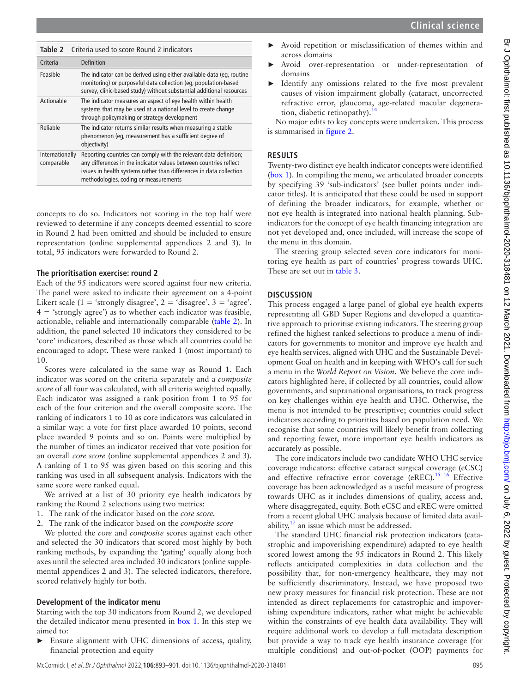<span id="page-2-0"></span>

| Table 2                       | Criteria used to score Round 2 indicators                                                                                                                                                                                                              |  |
|-------------------------------|--------------------------------------------------------------------------------------------------------------------------------------------------------------------------------------------------------------------------------------------------------|--|
| Criteria                      | Definition                                                                                                                                                                                                                                             |  |
| Feasible                      | The indicator can be derived using either available data (eg, routine<br>monitoring) or purposeful data collection (eg, population-based<br>survey, clinic-based study) without substantial additional resources                                       |  |
| Actionable                    | The indicator measures an aspect of eye health within health<br>systems that may be used at a national level to create change<br>through policymaking or strategy development                                                                          |  |
| Reliable                      | The indicator returns similar results when measuring a stable<br>phenomenon (eq. measurement has a sufficient degree of<br>objectivity)                                                                                                                |  |
| Internationally<br>comparable | Reporting countries can comply with the relevant data definition;<br>any differences in the indicator values between countries reflect<br>issues in health systems rather than differences in data collection<br>methodologies, coding or measurements |  |

concepts to do so. Indicators not scoring in the top half were reviewed to determine if any concepts deemed essential to score in Round 2 had been omitted and should be included to ensure representation [\(online supplemental appendices 2 and 3](https://dx.doi.org/10.1136/bjophthalmol-2020-318481)). In total, 95 indicators were forwarded to Round 2.

## **The prioritisation exercise: round 2**

Each of the 95 indicators were scored against four new criteria. The panel were asked to indicate their agreement on a 4-point Likert scale (1 = 'strongly disagree', 2 = 'disagree', 3 = 'agree',  $4 = 'strongly agree')$  as to whether each indicator was feasible, actionable, reliable and internationally comparable [\(table](#page-2-0) 2). In addition, the panel selected 10 indicators they considered to be 'core' indicators, described as those which all countries could be encouraged to adopt. These were ranked 1 (most important) to 10.

Scores were calculated in the same way as Round 1. Each indicator was scored on the criteria separately and a *composite score* of all four was calculated, with all criteria weighted equally. Each indicator was assigned a rank position from 1 to 95 for each of the four criterion and the overall composite score. The ranking of indicators 1 to 10 as core indicators was calculated in a similar way: a vote for first place awarded 10 points, second place awarded 9 points and so on. Points were multiplied by the number of times an indicator received that vote position for an overall *core score* ([online supplemental appendices 2 and 3](https://dx.doi.org/10.1136/bjophthalmol-2020-318481)). A ranking of 1 to 95 was given based on this scoring and this ranking was used in all subsequent analysis. Indicators with the same score were ranked equal.

We arrived at a list of 30 priority eye health indicators by ranking the Round 2 selections using two metrics:

- 1. The rank of the indicator based on the *core score.*
- 2. The rank of the indicator based on the *composite score*

We plotted the *core* and *composite* scores against each other and selected the 30 indicators that scored most highly by both ranking methods, by expanding the 'gating' equally along both axes until the selected area included 30 indicators ([online supple](https://dx.doi.org/10.1136/bjophthalmol-2020-318481)[mental appendices 2 and 3](https://dx.doi.org/10.1136/bjophthalmol-2020-318481)). The selected indicators, therefore, scored relatively highly for both.

## **Development of the indicator menu**

Starting with the top 30 indicators from Round 2, we developed the detailed indicator menu presented in [box](#page-3-0) 1. In this step we aimed to:

► Ensure alignment with UHC dimensions of access, quality, financial protection and equity

- Avoid repetition or misclassification of themes within and across domains
- Avoid over-representation or under-representation of domains
- Identify any omissions related to the five most prevalent causes of vision impairment globally (cataract, uncorrected refractive error, glaucoma, age-related macular degeneration, diabetic retinopathy).<sup>14</sup>

No major edits to key concepts were undertaken. This process is summarised in [figure](#page-5-0) 2.

## **RESULTS**

Twenty-two distinct eye health indicator concepts were identified ([box](#page-3-0) 1). In compiling the menu, we articulated broader concepts by specifying 39 'sub-indicators' (see bullet points under indicator titles). It is anticipated that these could be used in support of defining the broader indicators, for example, whether or not eye health is integrated into national health planning. Subindicators for the concept of eye health financing integration are not yet developed and, once included, will increase the scope of the menu in this domain.

The steering group selected seven core indicators for monitoring eye health as part of countries' progress towards UHC. These are set out in [table](#page-6-0) 3.

## **DISCUSSION**

This process engaged a large panel of global eye health experts representing all GBD Super Regions and developed a quantitative approach to prioritise existing indicators. The steering group refined the highest ranked selections to produce a menu of indicators for governments to monitor and improve eye health and eye health services, aligned with UHC and the Sustainable Development Goal on health and in keeping with WHO's call for such a menu in the *World Report on Vision*. We believe the core indicators highlighted here, if collected by all countries, could allow governments, and supranational organisations, to track progress on key challenges within eye health and UHC. Otherwise, the menu is not intended to be prescriptive; countries could select indicators according to priorities based on population need. We recognise that some countries will likely benefit from collecting and reporting fewer, more important eye health indicators as accurately as possible.

The core indicators include two candidate WHO UHC service coverage indicators: effective cataract surgical coverage (eCSC) and effective refractive error coverage (eREC).<sup>15 16</sup> Effective coverage has been acknowledged as a useful measure of progress towards UHC as it includes dimensions of quality, access and, where disaggregated, equity. Both eCSC and eREC were omitted from a recent global UHC analysis because of limited data availability, $17$  an issue which must be addressed.

The standard UHC financial risk protection indicators (catastrophic and impoverishing expenditure) adapted to eye health scored lowest among the 95 indicators in Round 2. This likely reflects anticipated complexities in data collection and the possibility that, for non-emergency healthcare, they may not be sufficiently discriminatory. Instead, we have proposed two new proxy measures for financial risk protection. These are not intended as direct replacements for catastrophic and impoverishing expenditure indicators, rather what might be achievable within the constraints of eye health data availability. They will require additional work to develop a full metadata description but provide a way to track eye health insurance coverage (for multiple conditions) and out-of-pocket (OOP) payments for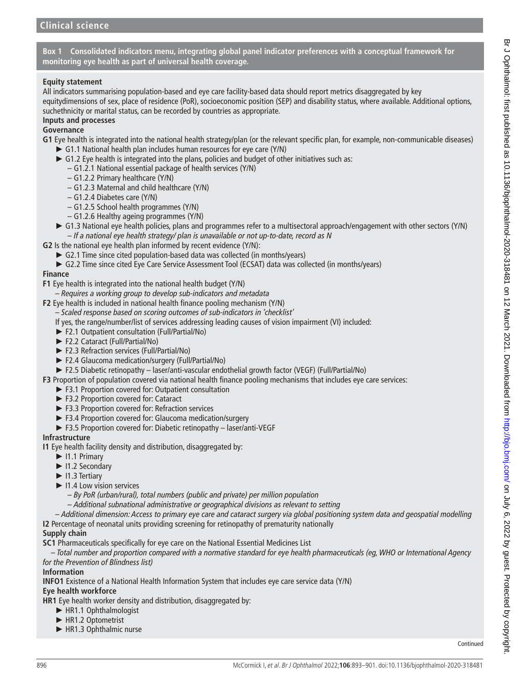**Box 1 Consolidated indicators menu, integrating global panel indicator preferences with a conceptual framework for monitoring eye health as part of universal health coverage.**

## <span id="page-3-0"></span>**Equity statement**

All indicators summarising population-based and eye care facility-based data should report metrics disaggregated by key equitydimensions of sex, place of residence (PoR), socioeconomic position (SEP) and disability status, where available. Additional options, suchethnicity or marital status, can be recorded by countries as appropriate.

## **Inputs and processes**

## **Governance**

- **G1** Eye health is integrated into the national health strategy/plan (or the relevant specific plan, for example, non-communicable diseases)
	- ► G1.1 National health plan includes human resources for eye care (Y/N)
	- ► G1.2 Eye health is integrated into the plans, policies and budget of other initiatives such as:
		- G1.2.1 National essential package of health services (Y/N)
		- G1.2.2 Primary healthcare (Y/N)
		- G1.2.3 Maternal and child healthcare (Y/N)
		- G1.2.4 Diabetes care (Y/N)
		- G1.2.5 School health programmes (Y/N)
		- G1.2.6 Healthy ageing programmes (Y/N)
	- ► G1.3 National eye health policies, plans and programmes refer to a multisectoral approach/engagement with other sectors (Y/N) – *If a national eye health strategy/ plan is unavailable or not up-to-date, record as N*
- **G2** Is the national eye health plan informed by recent evidence (Y/N):
- ► G2.1 Time since cited population-based data was collected (in months/years)
	-
	- ► G2.2 Time since cited Eye Care Service Assessment Tool (ECSAT) data was collected (in months/years)

## **Finance**

- **F1** Eye health is integrated into the national health budget (Y/N)
	- *Requires a working group to develop sub-indicators and metadata*

**F2** Eye health is included in national health finance pooling mechanism (Y/N)

– *Scaled response based on scoring outcomes of sub-indicators in 'checklist'*

- If yes, the range/number/list of services addressing leading causes of vision impairment (VI) included:
- ► F2.1 Outpatient consultation (Full/Partial/No)
- ► F2.2 Cataract (Full/Partial/No)
- ► F2.3 Refraction services (Full/Partial/No)
- ► F2.4 Glaucoma medication/surgery (Full/Partial/No)
- ► F2.5 Diabetic retinopathy laser/anti-vascular endothelial growth factor (VEGF) (Full/Partial/No)

**F3** Proportion of population covered via national health finance pooling mechanisms that includes eye care services:

- ► F3.1 Proportion covered for: Outpatient consultation
- ► F3.2 Proportion covered for: Cataract
- ► F3.3 Proportion covered for: Refraction services
- ► F3.4 Proportion covered for: Glaucoma medication/surgery
- ► F3.5 Proportion covered for: Diabetic retinopathy laser/anti-VEGF

## **Infrastructure**

- **I1** Eye health facility density and distribution, disaggregated by:
	- ► I1.1 Primary
	- ► I1.2 Secondary
	- ► I1.3 Tertiary
	- ► I1.4 Low vision services
		- *By PoR (urban/rural), total numbers (public and private) per million population*
		- *Additional subnational administrative or geographical divisions as relevant to setting*
- *Additional dimension: Access to primary eye care and cataract surgery via global positioning system data and geospatial modelling* **I2** Percentage of neonatal units providing screening for retinopathy of prematurity nationally

## **Supply chain**

**SC1** Pharmaceuticals specifically for eye care on the National Essential Medicines List

*– Total number and proportion compared with a normative standard for eye health pharmaceuticals (eg, WHO or International Agency for the Prevention of Blindness list)*

## **Information**

**INFO1** Existence of a National Health Information System that includes eye care service data (Y/N)

## **Eye health workforce**

**HR1** Eye health worker density and distribution, disaggregated by:

- ► HR1.1 Ophthalmologist
- ► HR1.2 Optometrist
- ► HR1.3 Ophthalmic nurse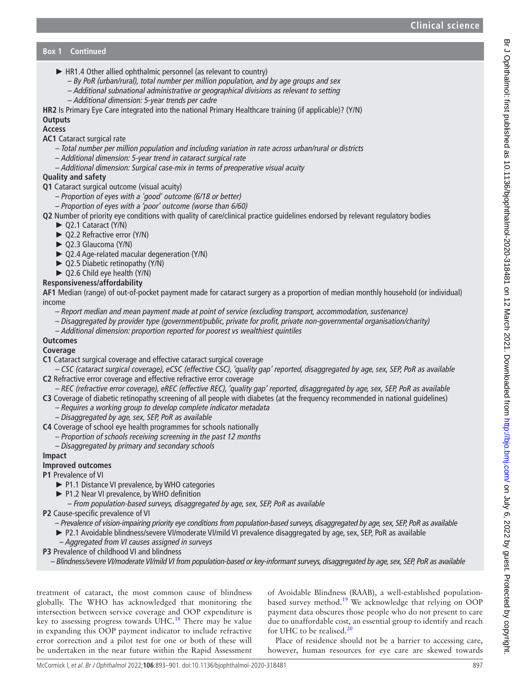- ► HR1.4 Other allied ophthalmic personnel (as relevant to country)
	- *By PoR (urban/rural), total number per million population, and by age groups and sex*
	- *Additional subnational administrative or geographical divisions as relevant to setting*
	- *Additional dimension: 5-year trends per cadre*
- **HR2** Is Primary Eye Care integrated into the national Primary Healthcare training (if applicable)? (Y/N)

# **Outputs**

- **Access**
- **AC1** Cataract surgical rate
	- *Total number per million population and including variation in rate across urban/rural or districts*
	- *Additional dimension: 5-year trend in cataract surgical rate*
	- *Additional dimension: Surgical case-mix in terms of preoperative visual acuity*

# **Quality and safety**

- **Q1** Cataract surgical outcome (visual acuity)
	- *Proportion of eyes with a 'good' outcome (6/18 or better)*
	- *Proportion of eyes with a 'poor' outcome (worse than 6/60)*
- **Q2** Number of priority eye conditions with quality of care/clinical practice guidelines endorsed by relevant regulatory bodies
	- ► Q2.1 Cataract (Y/N)
		- ► Q2.2 Refractive error (Y/N)
		- ► Q2.3 Glaucoma (Y/N)
		- ► Q2.4 Age-related macular degeneration (Y/N)
		- ► Q2.5 Diabetic retinopathy (Y/N)
		- ► Q2.6 Child eye health (Y/N)

# **Responsiveness/affordability**

**AF1** Median (range) of out-of-pocket payment made for cataract surgery as a proportion of median monthly household (or individual) income

- *Report median and mean payment made at point of service (excluding transport, accommodation, sustenance)*
- *Disaggregated by provider type (government/public, private for profit, private non-governmental organisation/charity)*
- *Additional dimension: proportion reported for poorest vs wealthiest quintiles*

## **Outcomes**

## **Coverage**

- **C1** Cataract surgical coverage and effective cataract surgical coverage
- *CSC (cataract surgical coverage), eCSC (effective CSC), 'quality gap' reported, disaggregated by age, sex, SEP, PoR as available* **C2** Refractive error coverage and effective refractive error coverage
- *REC (refractive error coverage), eREC (effective REC), 'quality gap' reported, disaggregated by age, sex, SEP, PoR as available*
- **C3** Coverage of diabetic retinopathy screening of all people with diabetes (at the frequency recommended in national guidelines)
	- *Requires a working group to develop complete indicator metadata*
	- *Disaggregated by age, sex, SEP, PoR as available*
- **C4** Coverage of school eye health programmes for schools nationally
	- *Proportion of schools receiving screening in the past 12 months*
	- *Disaggregated by primary and secondary schools*

## **Impact**

# **Improved outcomes**

## **P1** Prevalence of VI

- ► P1.1 Distance VI prevalence, by WHO categories
- ► P1.2 Near VI prevalence, by WHO definition
- *From population-based surveys, disaggregated by age, sex, SEP, PoR as available*
- **P2** Cause-specific prevalence of VI
	- *Prevalence of vision-impairing priority eye conditions from population-based surveys, disaggregated by age, sex, SEP, PoR as available*
	- ► P2.1 Avoidable blindness/severe VI/moderate VI/mild VI prevalence disaggregated by age, sex, SEP, PoR as available
	- *Aggregated from VI causes assigned in surveys*
- **P3** Prevalence of childhood VI and blindness
	- *Blindness/severe VI/moderate VI/mild VI from population-based or key-informant surveys, disaggregated by age, sex, SEP, PoR as available*

treatment of cataract, the most common cause of blindness globally. The WHO has acknowledged that monitoring the intersection between service coverage and OOP expenditure is key to assessing progress towards  $UHC<sup>18</sup>$ . There may be value in expanding this OOP payment indicator to include refractive error correction and a pilot test for one or both of these will be undertaken in the near future within the Rapid Assessment

of Avoidable Blindness (RAAB), a well-established populationbased survey method.<sup>19</sup> We acknowledge that relying on OOP payment data obscures those people who do not present to care due to unaffordable cost, an essential group to identify and reach for UHC to be realised. $^{20}$ 

Place of residence should not be a barrier to accessing care, however, human resources for eye care are skewed towards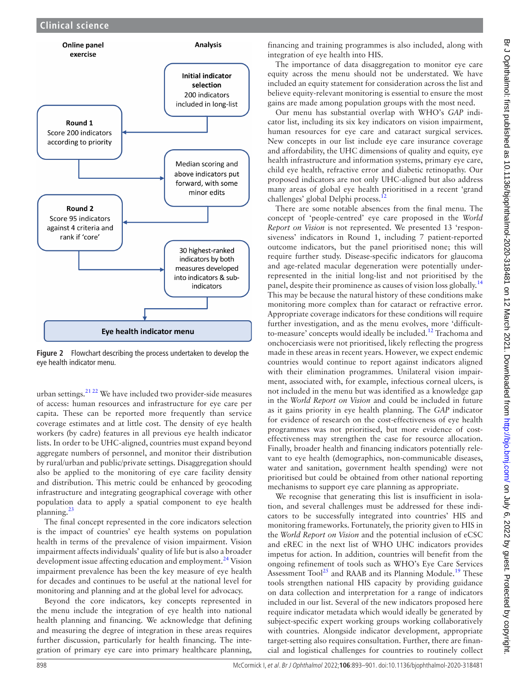

<span id="page-5-0"></span>**Figure 2** Flowchart describing the process undertaken to develop the eye health indicator menu.

urban settings. $21 22$  We have included two provider-side measures of access: human resources and infrastructure for eye care per capita. These can be reported more frequently than service coverage estimates and at little cost. The density of eye health workers (by cadre) features in all previous eye health indicator lists. In order to be UHC-aligned, countries must expand beyond aggregate numbers of personnel, and monitor their distribution by rural/urban and public/private settings. Disaggregation should also be applied to the monitoring of eye care facility density and distribution. This metric could be enhanced by geocoding infrastructure and integrating geographical coverage with other population data to apply a spatial component to eye health planning.[23](#page-8-12)

The final concept represented in the core indicators selection is the impact of countries' eye health systems on population health in terms of the prevalence of vision impairment. Vision impairment affects individuals' quality of life but is also a broader development issue affecting education and employment.<sup>[24](#page-8-13)</sup> Vision impairment prevalence has been the key measure of eye health for decades and continues to be useful at the national level for monitoring and planning and at the global level for advocacy.

Beyond the core indicators, key concepts represented in the menu include the integration of eye health into national health planning and financing. We acknowledge that defining and measuring the degree of integration in these areas requires further discussion, particularly for health financing. The integration of primary eye care into primary healthcare planning,

financing and training programmes is also included, along with integration of eye health into HIS.

The importance of data disaggregation to monitor eye care equity across the menu should not be understated. We have included an equity statement for consideration across the list and believe equity-relevant monitoring is essential to ensure the most gains are made among population groups with the most need.

Our menu has substantial overlap with WHO's *GAP* indicator list, including its six key indicators on vision impairment, human resources for eye care and cataract surgical services. New concepts in our list include eye care insurance coverage and affordability, the UHC dimensions of quality and equity, eye health infrastructure and information systems, primary eye care, child eye health, refractive error and diabetic retinopathy. Our proposed indicators are not only UHC-aligned but also address many areas of global eye health prioritised in a recent 'grand challenges' global Delphi process.<sup>12</sup>

There are some notable absences from the final menu. The concept of 'people-centred' eye care proposed in the *World Report on Vision* is not represented. We presented 13 'responsiveness' indicators in Round 1, including 7 patient-reported outcome indicators, but the panel prioritised none; this will require further study. Disease-specific indicators for glaucoma and age-related macular degeneration were potentially underrepresented in the initial long-list and not prioritised by the panel, despite their prominence as causes of vision loss globally.<sup>[14](#page-8-5)</sup> This may be because the natural history of these conditions make monitoring more complex than for cataract or refractive error. Appropriate coverage indicators for these conditions will require further investigation, and as the menu evolves, more 'difficultto-measure' concepts would ideally be included.<sup>12</sup> Trachoma and onchocerciasis were not prioritised, likely reflecting the progress made in these areas in recent years. However, we expect endemic countries would continue to report against indicators aligned with their elimination programmes. Unilateral vision impairment, associated with, for example, infectious corneal ulcers, is not included in the menu but was identified as a knowledge gap in the *World Report on Vision* and could be included in future as it gains priority in eye health planning. The *GAP* indicator for evidence of research on the cost-effectiveness of eye health programmes was not prioritised, but more evidence of costeffectiveness may strengthen the case for resource allocation. Finally, broader health and financing indicators potentially relevant to eye health (demographics, non-communicable diseases, water and sanitation, government health spending) were not prioritised but could be obtained from other national reporting mechanisms to support eye care planning as appropriate.

We recognise that generating this list is insufficient in isolation, and several challenges must be addressed for these indicators to be successfully integrated into countries' HIS and monitoring frameworks. Fortunately, the priority given to HIS in the *World Report on Vision* and the potential inclusion of eCSC and eREC in the next list of WHO UHC indicators provides impetus for action. In addition, countries will benefit from the ongoing refinement of tools such as WHO's Eye Care Services Assessment Tool<sup>25</sup> and RAAB and its Planning Module.<sup>19</sup> These tools strengthen national HIS capacity by providing guidance on data collection and interpretation for a range of indicators included in our list. Several of the new indicators proposed here require indicator metadata which would ideally be generated by subject-specific expert working groups working collaboratively with countries. Alongside indicator development, appropriate target-setting also requires consultation. Further, there are financial and logistical challenges for countries to routinely collect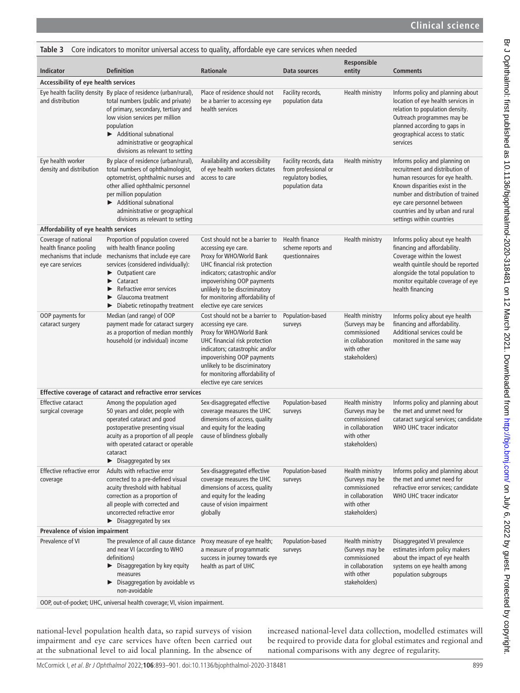<span id="page-6-0"></span>

| Core indicators to monitor universal access to quality, affordable eye care services when needed<br>Table 3 |                                                                                                                                                                                                                                                                                                                                        |                                                                                                                                                                                                                                                                                        |                                                                                         |                                                                                                       |                                                                                                                                                                                                                                                                             |  |  |  |
|-------------------------------------------------------------------------------------------------------------|----------------------------------------------------------------------------------------------------------------------------------------------------------------------------------------------------------------------------------------------------------------------------------------------------------------------------------------|----------------------------------------------------------------------------------------------------------------------------------------------------------------------------------------------------------------------------------------------------------------------------------------|-----------------------------------------------------------------------------------------|-------------------------------------------------------------------------------------------------------|-----------------------------------------------------------------------------------------------------------------------------------------------------------------------------------------------------------------------------------------------------------------------------|--|--|--|
| <b>Indicator</b>                                                                                            | <b>Definition</b>                                                                                                                                                                                                                                                                                                                      | <b>Rationale</b>                                                                                                                                                                                                                                                                       | Data sources                                                                            | Responsible<br>entity                                                                                 | <b>Comments</b>                                                                                                                                                                                                                                                             |  |  |  |
| Accessibility of eye health services                                                                        |                                                                                                                                                                                                                                                                                                                                        |                                                                                                                                                                                                                                                                                        |                                                                                         |                                                                                                       |                                                                                                                                                                                                                                                                             |  |  |  |
| and distribution                                                                                            | Eye health facility density By place of residence (urban/rural),<br>total numbers (public and private)<br>of primary, secondary, tertiary and<br>low vision services per million<br>population<br>Additional subnational<br>administrative or geographical<br>divisions as relevant to setting                                         | Place of residence should not<br>be a barrier to accessing eye<br>health services                                                                                                                                                                                                      | Facility records,<br>population data                                                    | Health ministry                                                                                       | Informs policy and planning about<br>location of eye health services in<br>relation to population density.<br>Outreach programmes may be<br>planned according to gaps in<br>geographical access to static<br>services                                                       |  |  |  |
| Eye health worker<br>density and distribution                                                               | By place of residence (urban/rural),<br>total numbers of ophthalmologist,<br>optometrist, ophthalmic nurses and<br>other allied ophthalmic personnel<br>per million population<br>Additional subnational<br>administrative or geographical<br>divisions as relevant to setting                                                         | Availability and accessibility<br>of eye health workers dictates<br>access to care                                                                                                                                                                                                     | Facility records, data<br>from professional or<br>regulatory bodies,<br>population data | Health ministry                                                                                       | Informs policy and planning on<br>recruitment and distribution of<br>human resources for eye health.<br>Known disparities exist in the<br>number and distribution of trained<br>eye care personnel between<br>countries and by urban and rural<br>settings within countries |  |  |  |
| Affordability of eye health services                                                                        |                                                                                                                                                                                                                                                                                                                                        |                                                                                                                                                                                                                                                                                        |                                                                                         |                                                                                                       |                                                                                                                                                                                                                                                                             |  |  |  |
| Coverage of national<br>health finance pooling<br>eye care services                                         | Proportion of population covered<br>with health finance pooling<br>mechanisms that include mechanisms that include eye care<br>services (considered individually):<br>$\blacktriangleright$ Outpatient care<br>Cataract<br>▶<br>Refractive error services<br>Glaucoma treatment<br>▶<br>Diabetic retinopathy treatment                 | Cost should not be a barrier to<br>accessing eye care.<br>Proxy for WHO/World Bank<br>UHC financial risk protection<br>indicators; catastrophic and/or<br>impoverishing OOP payments<br>unlikely to be discriminatory<br>for monitoring affordability of<br>elective eye care services | Health finance<br>scheme reports and<br>questionnaires                                  | Health ministry                                                                                       | Informs policy about eye health<br>financing and affordability.<br>Coverage within the lowest<br>wealth quintile should be reported<br>alongside the total population to<br>monitor equitable coverage of eye<br>health financing                                           |  |  |  |
| OOP payments for<br>cataract surgery                                                                        | Median (and range) of OOP<br>payment made for cataract surgery<br>as a proportion of median monthly<br>household (or individual) income                                                                                                                                                                                                | Cost should not be a barrier to<br>accessing eye care.<br>Proxy for WHO/World Bank<br>UHC financial risk protection<br>indicators; catastrophic and/or<br>impoverishing OOP payments<br>unlikely to be discriminatory<br>for monitoring affordability of<br>elective eye care services | Population-based<br>surveys                                                             | Health ministry<br>(Surveys may be<br>commissioned<br>in collaboration<br>with other<br>stakeholders) | Informs policy about eye health<br>financing and affordability.<br>Additional services could be<br>monitored in the same way                                                                                                                                                |  |  |  |
|                                                                                                             | Effective coverage of cataract and refractive error services                                                                                                                                                                                                                                                                           |                                                                                                                                                                                                                                                                                        |                                                                                         |                                                                                                       |                                                                                                                                                                                                                                                                             |  |  |  |
| <b>Effective cataract</b><br>surgical coverage                                                              | Among the population aged<br>50 years and older, people with<br>operated cataract and good<br>postoperative presenting visual<br>acuity as a proportion of all people cause of blindness globally<br>with operated cataract or operable<br>cataract<br>$\blacktriangleright$ Disaggregated by sex                                      | Sex-disaggregated effective<br>coverage measures the UHC<br>dimensions of access, quality<br>and equity for the leading                                                                                                                                                                | Population-based<br>surveys                                                             | Health ministry<br>(Surveys may be<br>commissioned<br>in collaboration<br>with other<br>stakeholders) | Informs policy and planning about<br>the met and unmet need for<br>cataract surgical services; candidate<br>WHO UHC tracer indicator                                                                                                                                        |  |  |  |
| Effective refractive error<br>coverage                                                                      | Adults with refractive error<br>corrected to a pre-defined visual<br>acuity threshold with habitual<br>correction as a proportion of<br>all people with corrected and<br>uncorrected refractive error<br>$\blacktriangleright$ Disaggregated by sex                                                                                    | Sex-disaggregated effective<br>coverage measures the UHC<br>dimensions of access, quality<br>and equity for the leading<br>cause of vision impairment<br>globally                                                                                                                      | Population-based<br>surveys                                                             | Health ministry<br>(Surveys may be<br>commissioned<br>in collaboration<br>with other<br>stakeholders) | Informs policy and planning about<br>the met and unmet need for<br>refractive error services; candidate<br>WHO UHC tracer indicator                                                                                                                                         |  |  |  |
| Prevalence of vision impairment                                                                             |                                                                                                                                                                                                                                                                                                                                        |                                                                                                                                                                                                                                                                                        |                                                                                         |                                                                                                       |                                                                                                                                                                                                                                                                             |  |  |  |
| Prevalence of VI                                                                                            | The prevalence of all cause distance Proxy measure of eye health;<br>and near VI (according to WHO<br>definitions)<br>$\blacktriangleright$ Disaggregation by key equity<br>measures<br>$\triangleright$ Disaggregation by avoidable vs<br>non-avoidable<br>OOP, out-of-pocket; UHC, universal health coverage; VI, vision impairment. | a measure of programmatic<br>success in journey towards eye<br>health as part of UHC                                                                                                                                                                                                   | Population-based<br>surveys                                                             | Health ministry<br>(Surveys may be<br>commissioned<br>in collaboration<br>with other<br>stakeholders) | Disaggregated VI prevalence<br>estimates inform policy makers<br>about the impact of eye health<br>systems on eye health among<br>population subgroups                                                                                                                      |  |  |  |

national-level population health data, so rapid surveys of vision impairment and eye care services have often been carried out at the subnational level to aid local planning. In the absence of increased national-level data collection, modelled estimates will be required to provide data for global estimates and regional and national comparisons with any degree of regularity.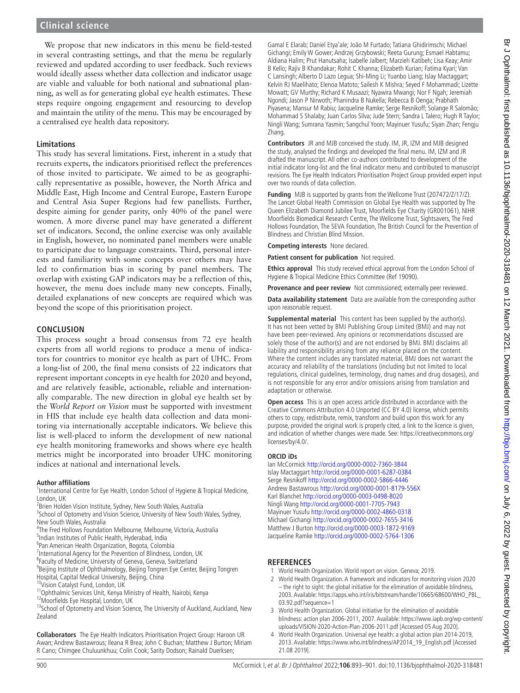We propose that new indicators in this menu be field-tested in several contrasting settings, and that the menu be regularly reviewed and updated according to user feedback. Such reviews would ideally assess whether data collection and indicator usage are viable and valuable for both national and subnational planning, as well as for generating global eye health estimates. These steps require ongoing engagement and resourcing to develop and maintain the utility of the menu. This may be encouraged by a centralised eye health data repository.

#### **Limitations**

This study has several limitations. First, inherent in a study that recruits experts, the indicators prioritised reflect the preferences of those invited to participate. We aimed to be as geographically representative as possible, however, the North Africa and Middle East, High Income and Central Europe, Eastern Europe and Central Asia Super Regions had few panellists. Further, despite aiming for gender parity, only 40% of the panel were women. A more diverse panel may have generated a different set of indicators. Second, the online exercise was only available in English, however, no nominated panel members were unable to participate due to language constraints. Third, personal interests and familiarity with some concepts over others may have led to confirmation bias in scoring by panel members. The overlap with existing GAP indicators may be a reflection of this, however, the menu does include many new concepts. Finally, detailed explanations of new concepts are required which was beyond the scope of this prioritisation project.

#### **CONCLUSION**

This process sought a broad consensus from 72 eye health experts from all world regions to produce a menu of indicators for countries to monitor eye health as part of UHC. From a long-list of 200, the final menu consists of 22 indicators that represent important concepts in eye health for 2020 and beyond, and are relatively feasible, actionable, reliable and internationally comparable. The new direction in global eye health set by the *World Report on Vision* must be supported with investment in HIS that include eye health data collection and data monitoring via internationally acceptable indicators. We believe this list is well-placed to inform the development of new national eye health monitoring frameworks and shows where eye health metrics might be incorporated into broader UHC monitoring indices at national and international levels.

#### **Author affiliations**

<sup>1</sup>International Centre for Eye Health, London School of Hygiene & Tropical Medicine, London, UK

<sup>2</sup> Brien Holden Vision Institute, Sydney, New South Wales, Australia

<sup>3</sup>School of Optometry and Vision Science, University of New South Wales, Sydney, New South Wales, Australia

- 4 The Fred Hollows Foundation Melbourne, Melbourne, Victoria, Australia
- 5 Indian Institutes of Public Health, Hyderabad, India
- 6 Pan American Health Organization, Bogota, Colombia

<sup>7</sup>International Agency for the Prevention of Blindness, London, UK

<sup>8</sup> Faculty of Medicine, University of Geneva, Geneva, Switzerland

- <sup>9</sup>Beijing Institute of Ophthalmology, Beijing Tongren Eye Center, Beijing Tongren Hospital, Capital Medical University, Beijing, China
- 10Vision Catalyst Fund, London, UK
- <sup>11</sup>Ophthalmic Services Unit, Kenya Ministry of Health, Nairobi, Kenya

12Moorfields Eye Hospital, London, UK

<sup>13</sup>School of Optometry and Vision Science, The University of Auckland, Auckland, New Zealand

**Collaborators** The Eye Health Indicators Prioritisation Project Group: Haroon UR Awan; Andrew Bastawrous; Ileana R Brea; John C Buchan; Matthew J Burton; Miriam R Cano; Chimgee Chuluunkhuu; Colin Cook; Sarity Dodson; Rainald Duerksen;

Gamal E Elarab; Daniel Etya'ale; João M Furtado; Tatiana Ghidirimschi; Michael Gichangi; Emily W Gower; Andrzej Grzybowski; Reeta Gurung; Esmael Habtamu; Aldiana Halim; Prut Hanutsaha; Isabelle Jalbert; Marzieh Katibeh; Lisa Keay; Amir B Kello; Rajiv B Khandakar; Rohit C Khanna; Elizabeth Kurian; Fatima Kyari; Van C Lansingh; Alberto D Lazo Legua; Shi-Ming Li; Yuanbo Liang; Islay Mactaggart; Kelvin RJ Maelihato; Elenoa Matoto; Sailesh K Mishra; Seyed F Mohammadi; Lizette Mowatt; GV Murthy; Richard K Musaazi; Nyawira Mwangi; Nor F Ngah; Jeremiah Ngondi; Jason P Nirwoth; Phanindra B Nukella; Rebecca B Oenga; Prabhath Piyasena; Mansur M Rabiu; Jacqueline Ramke; Serge Resnikoff; Solange R Salomão; Mohammad S Shalaby; Juan Carlos Silva; Jude Stern; Sandra L Talero; Hugh R Taylor; Ningli Wang; Sumrana Yasmin; Sangchul Yoon; Mayinuer Yusufu; Siyan Zhan; Fengju Zhang.

**Contributors** JR and MJB conceived the study. IM, JR, IZM and MJB designed the study, analysed the findings and developed the final menu. IM, IZM and JR drafted the manuscript. All other co-authors contributed to development of the initial indicator long-list and the final indicator menu and contributed to manuscript revisions. The Eye Health Indicators Prioritisation Project Group provided expert input over two rounds of data collection.

**Funding** MJB is supported by grants from the Wellcome Trust (207472/Z/17/Z). The Lancet Global Health Commission on Global Eye Health was supported by The Queen Elizabeth Diamond Jubilee Trust, Moorfields Eye Charity (GR001061), NIHR Moorfields Biomedical Research Centre, The Wellcome Trust, Sightsavers, The Fred Hollows Foundation, The SEVA Foundation, The British Council for the Prevention of Blindness and Christian Blind Mission.

**Competing interests** None declared.

**Patient consent for publication** Not required.

**Ethics approval** This study received ethical approval from the London School of Hygiene & Tropical Medicine Ethics Committee (Ref 19090).

**Provenance and peer review** Not commissioned; externally peer reviewed.

**Data availability statement** Data are available from the corresponding author upon reasonable request.

**Supplemental material** This content has been supplied by the author(s). It has not been vetted by BMJ Publishing Group Limited (BMJ) and may not have been peer-reviewed. Any opinions or recommendations discussed are solely those of the author(s) and are not endorsed by BMJ. BMJ disclaims all liability and responsibility arising from any reliance placed on the content. Where the content includes any translated material, BMJ does not warrant the accuracy and reliability of the translations (including but not limited to local regulations, clinical guidelines, terminology, drug names and drug dosages), and is not responsible for any error and/or omissions arising from translation and adaptation or otherwise.

**Open access** This is an open access article distributed in accordance with the Creative Commons Attribution 4.0 Unported (CC BY 4.0) license, which permits others to copy, redistribute, remix, transform and build upon this work for any purpose, provided the original work is properly cited, a link to the licence is given, and indication of whether changes were made. See: [https://creativecommons.org/](https://creativecommons.org/licenses/by/4.0/) [licenses/by/4.0/.](https://creativecommons.org/licenses/by/4.0/)

#### **ORCID iDs**

Ian McCormick<http://orcid.org/0000-0002-7360-3844> Islay Mactaggart <http://orcid.org/0000-0001-6287-0384> Serge Resnikoff<http://orcid.org/0000-0002-5866-4446> Andrew Bastawrous <http://orcid.org/0000-0001-8179-556X> Karl Blanchet<http://orcid.org/0000-0003-0498-8020> Ningli Wang<http://orcid.org/0000-0001-7705-7943> Mayinuer Yusufu <http://orcid.org/0000-0002-4860-0318> Michael Gichangi <http://orcid.org/0000-0002-7655-3416> Matthew J Burton <http://orcid.org/0000-0003-1872-9169> Jacqueline Ramke<http://orcid.org/0000-0002-5764-1306>

## **REFERENCES**

- <span id="page-7-0"></span>1 World Health Organization. World report on vision. Geneva; 2019.
- <span id="page-7-1"></span>2 World Health Organization. A framework and indicators for monitoring vision 2020 – the right to sight: the global initiative for the elimination of avoidable blindness, 2003. Available: [https://apps.who.int/iris/bitstream/handle/10665/68600/WHO\\_PBL\\_](https://apps.who.int/iris/bitstream/handle/10665/68600/WHO_PBL_03.92.pdf?sequence=1) [03.92.pdf?sequence=1](https://apps.who.int/iris/bitstream/handle/10665/68600/WHO_PBL_03.92.pdf?sequence=1)
- 3 World Health Organization. Global initiative for the elimination of avoidable blindness: action plan 2006-2011, 2007. Available: [https://www.iapb.org/wp-content/](https://www.iapb.org/wp-content/uploads/VISION-2020-Action-Plan-2006-2011.pdf) [uploads/VISION-2020-Action-Plan-2006-2011.pdf](https://www.iapb.org/wp-content/uploads/VISION-2020-Action-Plan-2006-2011.pdf) [Accessed 05 Aug 2020].
- <span id="page-7-2"></span>4 World Health Organization. Universal eye health: a global action plan 2014-2019, 2013. Available: [https://www.who.int/blindness/AP2014\\_19\\_English.pdf](https://www.who.int/blindness/AP2014_19_English.pdf) [Accessed 21.08 2019].